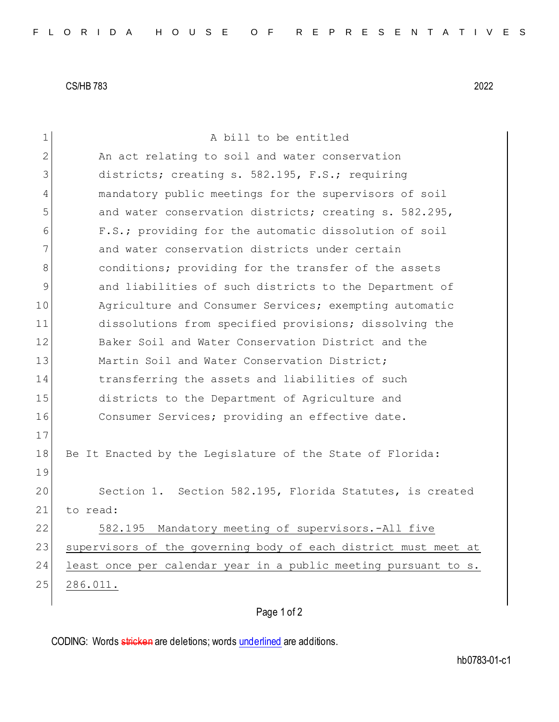CS/HB 783 2022

| $\mathbf 1$ | A bill to be entitled                                           |
|-------------|-----------------------------------------------------------------|
| 2           | An act relating to soil and water conservation                  |
| 3           | districts; creating s. 582.195, F.S.; requiring                 |
| 4           | mandatory public meetings for the supervisors of soil           |
| 5           | and water conservation districts; creating s. 582.295,          |
| 6           | F.S.; providing for the automatic dissolution of soil           |
| 7           | and water conservation districts under certain                  |
| 8           | conditions; providing for the transfer of the assets            |
| 9           | and liabilities of such districts to the Department of          |
| 10          | Agriculture and Consumer Services; exempting automatic          |
| 11          | dissolutions from specified provisions; dissolving the          |
| 12          | Baker Soil and Water Conservation District and the              |
| 13          | Martin Soil and Water Conservation District;                    |
| 14          | transferring the assets and liabilities of such                 |
| 15          | districts to the Department of Agriculture and                  |
| 16          | Consumer Services; providing an effective date.                 |
| 17          |                                                                 |
| 18          | Be It Enacted by the Legislature of the State of Florida:       |
| 19          |                                                                 |
| 20          | Section 1. Section 582.195, Florida Statutes, is created        |
| 21          | to read:                                                        |
| 22          | Mandatory meeting of supervisors.-All five<br>582.195           |
| 23          | supervisors of the governing body of each district must meet at |
| 24          | least once per calendar year in a public meeting pursuant to s. |
| 25          | 286.011.                                                        |
|             |                                                                 |

## Page 1 of 2

CODING: Words stricken are deletions; words underlined are additions.